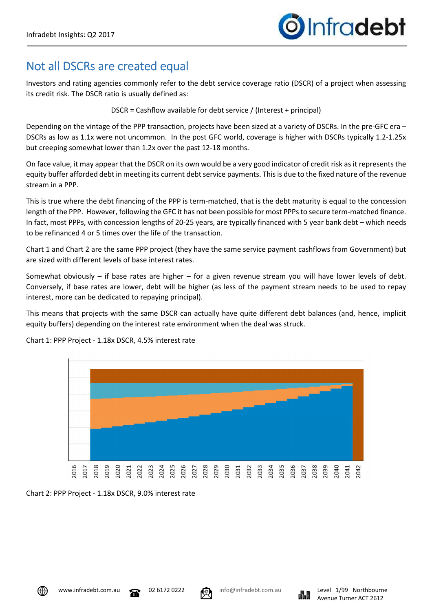# Not all DSCRs are created equal

Investors and rating agencies commonly refer to the debt service coverage ratio (DSCR) of a project when assessing its credit risk. The DSCR ratio is usually defined as:

DSCR = Cashflow available for debt service / (Interest + principal)

Depending on the vintage of the PPP transaction, projects have been sized at a variety of DSCRs. In the pre-GFC era – DSCRs as low as 1.1x were not uncommon. In the post GFC world, coverage is higher with DSCRs typically 1.2-1.25x but creeping somewhat lower than 1.2x over the past 12-18 months.

On face value, it may appear that the DSCR on its own would be a very good indicator of credit risk as it represents the equity buffer afforded debt in meeting its current debt service payments. This is due to the fixed nature of the revenue stream in a PPP.

This is true where the debt financing of the PPP is term-matched, that is the debt maturity is equal to the concession length of the PPP. However, following the GFC it has not been possible for most PPPs to secure term-matched finance. In fact, most PPPs, with concession lengths of 20-25 years, are typically financed with 5 year bank debt – which needs to be refinanced 4 or 5 times over the life of the transaction.

Chart 1 and Chart 2 are the same PPP project (they have the same service payment cashflows from Government) but are sized with different levels of base interest rates.

Somewhat obviously – if base rates are higher – for a given revenue stream you will have lower levels of debt. Conversely, if base rates are lower, debt will be higher (as less of the payment stream needs to be used to repay interest, more can be dedicated to repaying principal).

This means that projects with the same DSCR can actually have quite different debt balances (and, hence, implicit equity buffers) depending on the interest rate environment when the deal was struck.



Chart 1: PPP Project - 1.18x DSCR, 4.5% interest rate

Chart 2: PPP Project - 1.18x DSCR, 9.0% interest rate





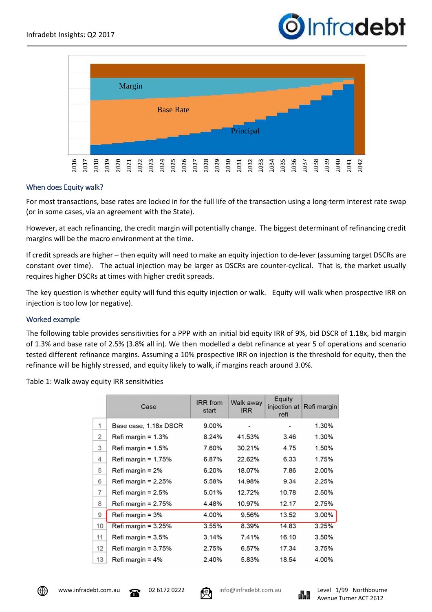



## When does Equity walk?

For most transactions, base rates are locked in for the full life of the transaction using a long-term interest rate swap (or in some cases, via an agreement with the State).

However, at each refinancing, the credit margin will potentially change. The biggest determinant of refinancing credit margins will be the macro environment at the time.

If credit spreads are higher – then equity will need to make an equity injection to de-lever (assuming target DSCRs are constant over time). The actual injection may be larger as DSCRs are counter-cyclical. That is, the market usually requires higher DSCRs at times with higher credit spreads.

The key question is whether equity will fund this equity injection or walk. Equity will walk when prospective IRR on injection is too low (or negative).

#### Worked example

The following table provides sensitivities for a PPP with an initial bid equity IRR of 9%, bid DSCR of 1.18x, bid margin of 1.3% and base rate of 2.5% (3.8% all in). We then modelled a debt refinance at year 5 of operations and scenario tested different refinance margins. Assuming a 10% prospective IRR on injection is the threshold for equity, then the refinance will be highly stressed, and equity likely to walk, if margins reach around 3.0%.

Table 1: Walk away equity IRR sensitivities

|    | Case                   | <b>IRR</b> from<br>start | Walk away<br><b>IRR</b> | Equity<br>refi | injection at Refi margin |
|----|------------------------|--------------------------|-------------------------|----------------|--------------------------|
| 1  | Base case, 1.18x DSCR  | 9.00%                    |                         |                | 1.30%                    |
| 2  | Refi margin = $1.3\%$  | 8.24%                    | 41.53%                  | 3.46           | 1.30%                    |
| 3  | Refi margin = $1.5\%$  | 7.60%                    | 30.21%                  | 4.75           | 1.50%                    |
| 4  | Refi margin = $1.75\%$ | 6.87%                    | 22.62%                  | 6.33           | 1.75%                    |
| 5  | Refi margin $= 2\%$    | 6.20%                    | 18.07%                  | 7.86           | 2.00%                    |
| 6  | Refi margin = $2.25%$  | 5.58%                    | 14.98%                  | 9.34           | 2.25%                    |
| 7  | Refi margin = $2.5\%$  | 5.01%                    | 12.72%                  | 10.78          | 2.50%                    |
| 8  | Refi margin = $2.75%$  | 4.48%                    | 10.97%                  | 12.17          | 2.75%                    |
| 9  | Refi margin = $3%$     | 4.00%                    | 9.56%                   | 13.52          | 3.00%                    |
| 10 | Refi margin = $3.25%$  | 3.55%                    | 8.39%                   | 14.83          | 3.25%                    |
| 11 | Refi margin = $3.5\%$  | 3.14%                    | 7.41%                   | 16.10          | 3.50%                    |
| 12 | Refi margin = $3.75%$  | 2.75%                    | 6.57%                   | 17.34          | 3.75%                    |
| 13 | Refi margin = $4\%$    | 2.40%                    | 5.83%                   | 18.54          | 4.00%                    |